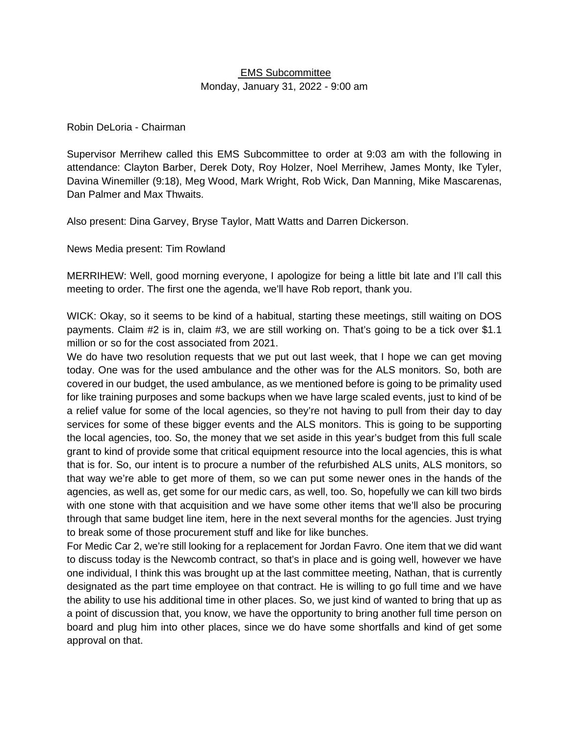### EMS Subcommittee Monday, January 31, 2022 - 9:00 am

#### Robin DeLoria - Chairman

Supervisor Merrihew called this EMS Subcommittee to order at 9:03 am with the following in attendance: Clayton Barber, Derek Doty, Roy Holzer, Noel Merrihew, James Monty, Ike Tyler, Davina Winemiller (9:18), Meg Wood, Mark Wright, Rob Wick, Dan Manning, Mike Mascarenas, Dan Palmer and Max Thwaits.

Also present: Dina Garvey, Bryse Taylor, Matt Watts and Darren Dickerson.

News Media present: Tim Rowland

MERRIHEW: Well, good morning everyone, I apologize for being a little bit late and I'll call this meeting to order. The first one the agenda, we'll have Rob report, thank you.

WICK: Okay, so it seems to be kind of a habitual, starting these meetings, still waiting on DOS payments. Claim #2 is in, claim #3, we are still working on. That's going to be a tick over \$1.1 million or so for the cost associated from 2021.

We do have two resolution requests that we put out last week, that I hope we can get moving today. One was for the used ambulance and the other was for the ALS monitors. So, both are covered in our budget, the used ambulance, as we mentioned before is going to be primality used for like training purposes and some backups when we have large scaled events, just to kind of be a relief value for some of the local agencies, so they're not having to pull from their day to day services for some of these bigger events and the ALS monitors. This is going to be supporting the local agencies, too. So, the money that we set aside in this year's budget from this full scale grant to kind of provide some that critical equipment resource into the local agencies, this is what that is for. So, our intent is to procure a number of the refurbished ALS units, ALS monitors, so that way we're able to get more of them, so we can put some newer ones in the hands of the agencies, as well as, get some for our medic cars, as well, too. So, hopefully we can kill two birds with one stone with that acquisition and we have some other items that we'll also be procuring through that same budget line item, here in the next several months for the agencies. Just trying to break some of those procurement stuff and like for like bunches.

For Medic Car 2, we're still looking for a replacement for Jordan Favro. One item that we did want to discuss today is the Newcomb contract, so that's in place and is going well, however we have one individual, I think this was brought up at the last committee meeting, Nathan, that is currently designated as the part time employee on that contract. He is willing to go full time and we have the ability to use his additional time in other places. So, we just kind of wanted to bring that up as a point of discussion that, you know, we have the opportunity to bring another full time person on board and plug him into other places, since we do have some shortfalls and kind of get some approval on that.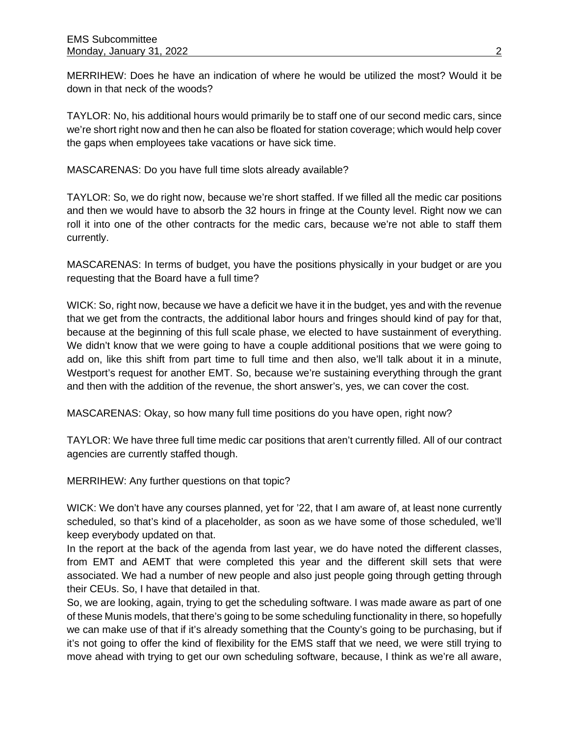MERRIHEW: Does he have an indication of where he would be utilized the most? Would it be down in that neck of the woods?

TAYLOR: No, his additional hours would primarily be to staff one of our second medic cars, since we're short right now and then he can also be floated for station coverage; which would help cover the gaps when employees take vacations or have sick time.

MASCARENAS: Do you have full time slots already available?

TAYLOR: So, we do right now, because we're short staffed. If we filled all the medic car positions and then we would have to absorb the 32 hours in fringe at the County level. Right now we can roll it into one of the other contracts for the medic cars, because we're not able to staff them currently.

MASCARENAS: In terms of budget, you have the positions physically in your budget or are you requesting that the Board have a full time?

WICK: So, right now, because we have a deficit we have it in the budget, yes and with the revenue that we get from the contracts, the additional labor hours and fringes should kind of pay for that, because at the beginning of this full scale phase, we elected to have sustainment of everything. We didn't know that we were going to have a couple additional positions that we were going to add on, like this shift from part time to full time and then also, we'll talk about it in a minute, Westport's request for another EMT. So, because we're sustaining everything through the grant and then with the addition of the revenue, the short answer's, yes, we can cover the cost.

MASCARENAS: Okay, so how many full time positions do you have open, right now?

TAYLOR: We have three full time medic car positions that aren't currently filled. All of our contract agencies are currently staffed though.

MERRIHEW: Any further questions on that topic?

WICK: We don't have any courses planned, yet for '22, that I am aware of, at least none currently scheduled, so that's kind of a placeholder, as soon as we have some of those scheduled, we'll keep everybody updated on that.

In the report at the back of the agenda from last year, we do have noted the different classes, from EMT and AEMT that were completed this year and the different skill sets that were associated. We had a number of new people and also just people going through getting through their CEUs. So, I have that detailed in that.

So, we are looking, again, trying to get the scheduling software. I was made aware as part of one of these Munis models, that there's going to be some scheduling functionality in there, so hopefully we can make use of that if it's already something that the County's going to be purchasing, but if it's not going to offer the kind of flexibility for the EMS staff that we need, we were still trying to move ahead with trying to get our own scheduling software, because, I think as we're all aware,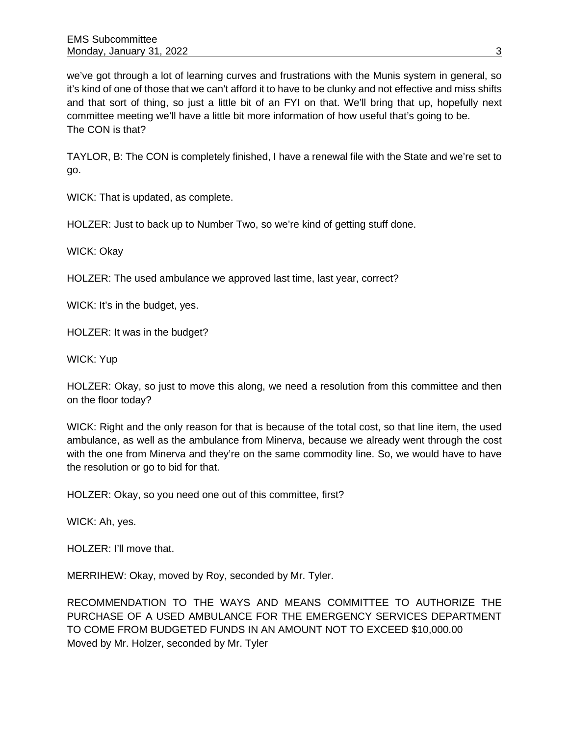we've got through a lot of learning curves and frustrations with the Munis system in general, so it's kind of one of those that we can't afford it to have to be clunky and not effective and miss shifts and that sort of thing, so just a little bit of an FYI on that. We'll bring that up, hopefully next committee meeting we'll have a little bit more information of how useful that's going to be. The CON is that?

TAYLOR, B: The CON is completely finished, I have a renewal file with the State and we're set to go.

WICK: That is updated, as complete.

HOLZER: Just to back up to Number Two, so we're kind of getting stuff done.

WICK: Okay

HOLZER: The used ambulance we approved last time, last year, correct?

WICK: It's in the budget, yes.

HOLZER: It was in the budget?

WICK: Yup

HOLZER: Okay, so just to move this along, we need a resolution from this committee and then on the floor today?

WICK: Right and the only reason for that is because of the total cost, so that line item, the used ambulance, as well as the ambulance from Minerva, because we already went through the cost with the one from Minerva and they're on the same commodity line. So, we would have to have the resolution or go to bid for that.

HOLZER: Okay, so you need one out of this committee, first?

WICK: Ah, yes.

HOLZER: I'll move that.

MERRIHEW: Okay, moved by Roy, seconded by Mr. Tyler.

RECOMMENDATION TO THE WAYS AND MEANS COMMITTEE TO AUTHORIZE THE PURCHASE OF A USED AMBULANCE FOR THE EMERGENCY SERVICES DEPARTMENT TO COME FROM BUDGETED FUNDS IN AN AMOUNT NOT TO EXCEED \$10,000.00 Moved by Mr. Holzer, seconded by Mr. Tyler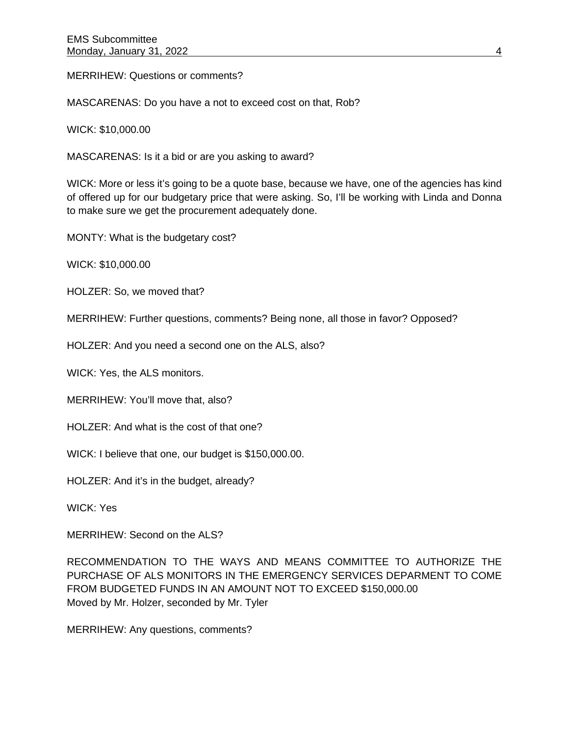MERRIHEW: Questions or comments?

MASCARENAS: Do you have a not to exceed cost on that, Rob?

WICK: \$10,000.00

MASCARENAS: Is it a bid or are you asking to award?

WICK: More or less it's going to be a quote base, because we have, one of the agencies has kind of offered up for our budgetary price that were asking. So, I'll be working with Linda and Donna to make sure we get the procurement adequately done.

MONTY: What is the budgetary cost?

WICK: \$10,000.00

HOLZER: So, we moved that?

MERRIHEW: Further questions, comments? Being none, all those in favor? Opposed?

HOLZER: And you need a second one on the ALS, also?

WICK: Yes, the ALS monitors.

MERRIHEW: You'll move that, also?

HOLZER: And what is the cost of that one?

WICK: I believe that one, our budget is \$150,000.00.

HOLZER: And it's in the budget, already?

WICK: Yes

MERRIHEW: Second on the ALS?

RECOMMENDATION TO THE WAYS AND MEANS COMMITTEE TO AUTHORIZE THE PURCHASE OF ALS MONITORS IN THE EMERGENCY SERVICES DEPARMENT TO COME FROM BUDGETED FUNDS IN AN AMOUNT NOT TO EXCEED \$150,000.00 Moved by Mr. Holzer, seconded by Mr. Tyler

MERRIHEW: Any questions, comments?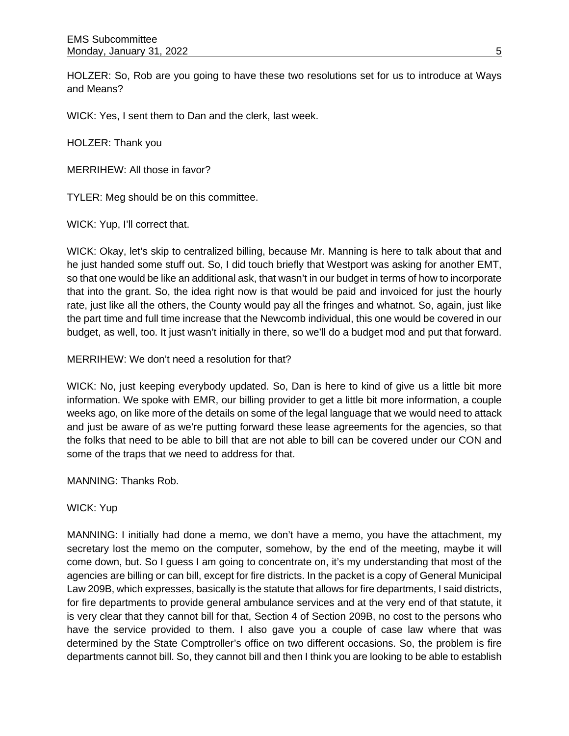HOLZER: So, Rob are you going to have these two resolutions set for us to introduce at Ways and Means?

WICK: Yes, I sent them to Dan and the clerk, last week.

HOLZER: Thank you

MERRIHEW: All those in favor?

TYLER: Meg should be on this committee.

WICK: Yup, I'll correct that.

WICK: Okay, let's skip to centralized billing, because Mr. Manning is here to talk about that and he just handed some stuff out. So, I did touch briefly that Westport was asking for another EMT, so that one would be like an additional ask, that wasn't in our budget in terms of how to incorporate that into the grant. So, the idea right now is that would be paid and invoiced for just the hourly rate, just like all the others, the County would pay all the fringes and whatnot. So, again, just like the part time and full time increase that the Newcomb individual, this one would be covered in our budget, as well, too. It just wasn't initially in there, so we'll do a budget mod and put that forward.

MERRIHEW: We don't need a resolution for that?

WICK: No, just keeping everybody updated. So, Dan is here to kind of give us a little bit more information. We spoke with EMR, our billing provider to get a little bit more information, a couple weeks ago, on like more of the details on some of the legal language that we would need to attack and just be aware of as we're putting forward these lease agreements for the agencies, so that the folks that need to be able to bill that are not able to bill can be covered under our CON and some of the traps that we need to address for that.

MANNING: Thanks Rob.

WICK: Yup

MANNING: I initially had done a memo, we don't have a memo, you have the attachment, my secretary lost the memo on the computer, somehow, by the end of the meeting, maybe it will come down, but. So I guess I am going to concentrate on, it's my understanding that most of the agencies are billing or can bill, except for fire districts. In the packet is a copy of General Municipal Law 209B, which expresses, basically is the statute that allows for fire departments, I said districts, for fire departments to provide general ambulance services and at the very end of that statute, it is very clear that they cannot bill for that, Section 4 of Section 209B, no cost to the persons who have the service provided to them. I also gave you a couple of case law where that was determined by the State Comptroller's office on two different occasions. So, the problem is fire departments cannot bill. So, they cannot bill and then I think you are looking to be able to establish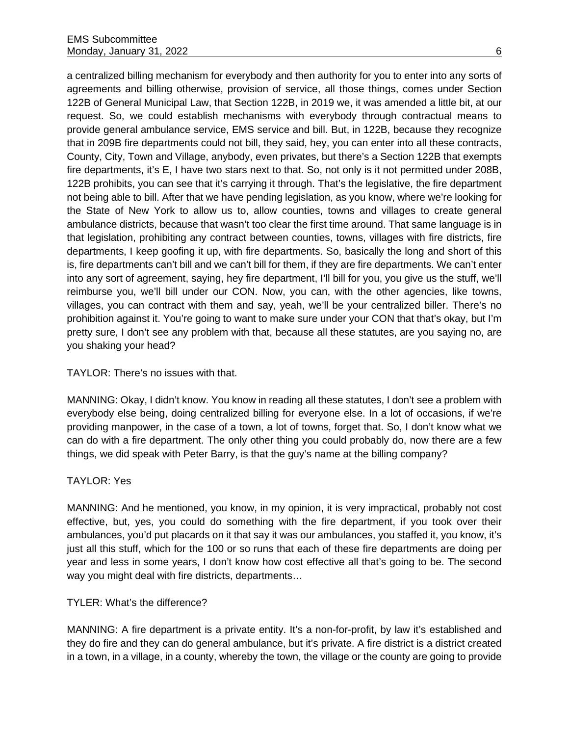a centralized billing mechanism for everybody and then authority for you to enter into any sorts of agreements and billing otherwise, provision of service, all those things, comes under Section 122B of General Municipal Law, that Section 122B, in 2019 we, it was amended a little bit, at our request. So, we could establish mechanisms with everybody through contractual means to provide general ambulance service, EMS service and bill. But, in 122B, because they recognize that in 209B fire departments could not bill, they said, hey, you can enter into all these contracts, County, City, Town and Village, anybody, even privates, but there's a Section 122B that exempts fire departments, it's E, I have two stars next to that. So, not only is it not permitted under 208B, 122B prohibits, you can see that it's carrying it through. That's the legislative, the fire department not being able to bill. After that we have pending legislation, as you know, where we're looking for the State of New York to allow us to, allow counties, towns and villages to create general ambulance districts, because that wasn't too clear the first time around. That same language is in that legislation, prohibiting any contract between counties, towns, villages with fire districts, fire departments, I keep goofing it up, with fire departments. So, basically the long and short of this is, fire departments can't bill and we can't bill for them, if they are fire departments. We can't enter into any sort of agreement, saying, hey fire department, I'll bill for you, you give us the stuff, we'll reimburse you, we'll bill under our CON. Now, you can, with the other agencies, like towns, villages, you can contract with them and say, yeah, we'll be your centralized biller. There's no prohibition against it. You're going to want to make sure under your CON that that's okay, but I'm pretty sure, I don't see any problem with that, because all these statutes, are you saying no, are you shaking your head?

### TAYLOR: There's no issues with that.

MANNING: Okay, I didn't know. You know in reading all these statutes, I don't see a problem with everybody else being, doing centralized billing for everyone else. In a lot of occasions, if we're providing manpower, in the case of a town, a lot of towns, forget that. So, I don't know what we can do with a fire department. The only other thing you could probably do, now there are a few things, we did speak with Peter Barry, is that the guy's name at the billing company?

### TAYLOR: Yes

MANNING: And he mentioned, you know, in my opinion, it is very impractical, probably not cost effective, but, yes, you could do something with the fire department, if you took over their ambulances, you'd put placards on it that say it was our ambulances, you staffed it, you know, it's just all this stuff, which for the 100 or so runs that each of these fire departments are doing per year and less in some years, I don't know how cost effective all that's going to be. The second way you might deal with fire districts, departments…

### TYLER: What's the difference?

MANNING: A fire department is a private entity. It's a non-for-profit, by law it's established and they do fire and they can do general ambulance, but it's private. A fire district is a district created in a town, in a village, in a county, whereby the town, the village or the county are going to provide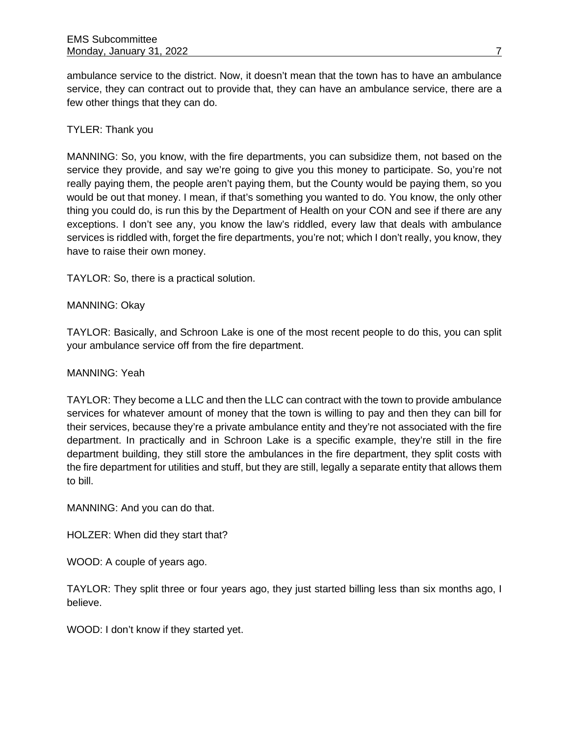ambulance service to the district. Now, it doesn't mean that the town has to have an ambulance service, they can contract out to provide that, they can have an ambulance service, there are a few other things that they can do.

## TYLER: Thank you

MANNING: So, you know, with the fire departments, you can subsidize them, not based on the service they provide, and say we're going to give you this money to participate. So, you're not really paying them, the people aren't paying them, but the County would be paying them, so you would be out that money. I mean, if that's something you wanted to do. You know, the only other thing you could do, is run this by the Department of Health on your CON and see if there are any exceptions. I don't see any, you know the law's riddled, every law that deals with ambulance services is riddled with, forget the fire departments, you're not; which I don't really, you know, they have to raise their own money.

TAYLOR: So, there is a practical solution.

## MANNING: Okay

TAYLOR: Basically, and Schroon Lake is one of the most recent people to do this, you can split your ambulance service off from the fire department.

### MANNING: Yeah

TAYLOR: They become a LLC and then the LLC can contract with the town to provide ambulance services for whatever amount of money that the town is willing to pay and then they can bill for their services, because they're a private ambulance entity and they're not associated with the fire department. In practically and in Schroon Lake is a specific example, they're still in the fire department building, they still store the ambulances in the fire department, they split costs with the fire department for utilities and stuff, but they are still, legally a separate entity that allows them to bill.

MANNING: And you can do that.

HOLZER: When did they start that?

WOOD: A couple of years ago.

TAYLOR: They split three or four years ago, they just started billing less than six months ago, I believe.

WOOD: I don't know if they started yet.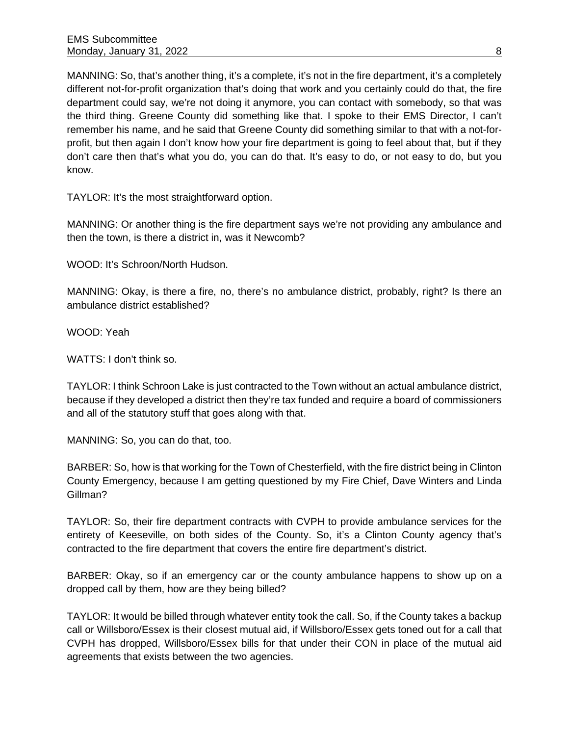MANNING: So, that's another thing, it's a complete, it's not in the fire department, it's a completely different not-for-profit organization that's doing that work and you certainly could do that, the fire department could say, we're not doing it anymore, you can contact with somebody, so that was the third thing. Greene County did something like that. I spoke to their EMS Director, I can't remember his name, and he said that Greene County did something similar to that with a not-forprofit, but then again I don't know how your fire department is going to feel about that, but if they don't care then that's what you do, you can do that. It's easy to do, or not easy to do, but you know.

TAYLOR: It's the most straightforward option.

MANNING: Or another thing is the fire department says we're not providing any ambulance and then the town, is there a district in, was it Newcomb?

WOOD: It's Schroon/North Hudson.

MANNING: Okay, is there a fire, no, there's no ambulance district, probably, right? Is there an ambulance district established?

WOOD: Yeah

WATTS: I don't think so.

TAYLOR: I think Schroon Lake is just contracted to the Town without an actual ambulance district, because if they developed a district then they're tax funded and require a board of commissioners and all of the statutory stuff that goes along with that.

MANNING: So, you can do that, too.

BARBER: So, how is that working for the Town of Chesterfield, with the fire district being in Clinton County Emergency, because I am getting questioned by my Fire Chief, Dave Winters and Linda Gillman?

TAYLOR: So, their fire department contracts with CVPH to provide ambulance services for the entirety of Keeseville, on both sides of the County. So, it's a Clinton County agency that's contracted to the fire department that covers the entire fire department's district.

BARBER: Okay, so if an emergency car or the county ambulance happens to show up on a dropped call by them, how are they being billed?

TAYLOR: It would be billed through whatever entity took the call. So, if the County takes a backup call or Willsboro/Essex is their closest mutual aid, if Willsboro/Essex gets toned out for a call that CVPH has dropped, Willsboro/Essex bills for that under their CON in place of the mutual aid agreements that exists between the two agencies.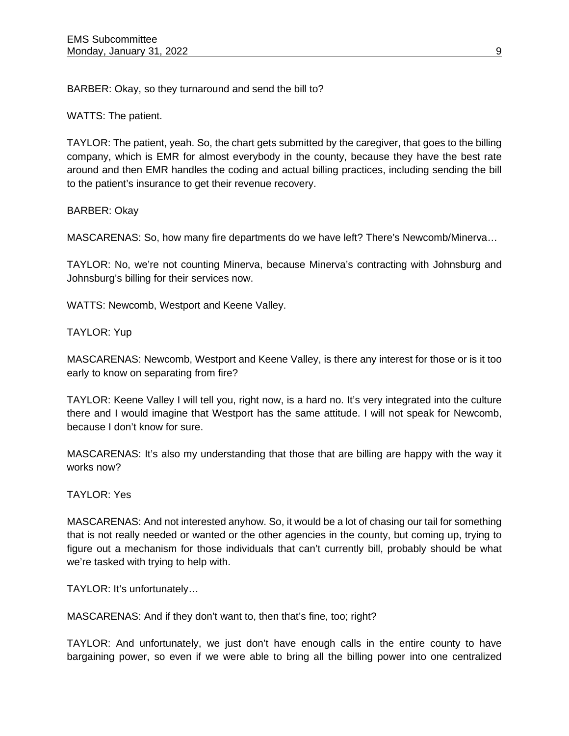BARBER: Okay, so they turnaround and send the bill to?

WATTS: The patient.

TAYLOR: The patient, yeah. So, the chart gets submitted by the caregiver, that goes to the billing company, which is EMR for almost everybody in the county, because they have the best rate around and then EMR handles the coding and actual billing practices, including sending the bill to the patient's insurance to get their revenue recovery.

BARBER: Okay

MASCARENAS: So, how many fire departments do we have left? There's Newcomb/Minerva…

TAYLOR: No, we're not counting Minerva, because Minerva's contracting with Johnsburg and Johnsburg's billing for their services now.

WATTS: Newcomb, Westport and Keene Valley.

TAYLOR: Yup

MASCARENAS: Newcomb, Westport and Keene Valley, is there any interest for those or is it too early to know on separating from fire?

TAYLOR: Keene Valley I will tell you, right now, is a hard no. It's very integrated into the culture there and I would imagine that Westport has the same attitude. I will not speak for Newcomb, because I don't know for sure.

MASCARENAS: It's also my understanding that those that are billing are happy with the way it works now?

TAYLOR: Yes

MASCARENAS: And not interested anyhow. So, it would be a lot of chasing our tail for something that is not really needed or wanted or the other agencies in the county, but coming up, trying to figure out a mechanism for those individuals that can't currently bill, probably should be what we're tasked with trying to help with.

TAYLOR: It's unfortunately…

MASCARENAS: And if they don't want to, then that's fine, too; right?

TAYLOR: And unfortunately, we just don't have enough calls in the entire county to have bargaining power, so even if we were able to bring all the billing power into one centralized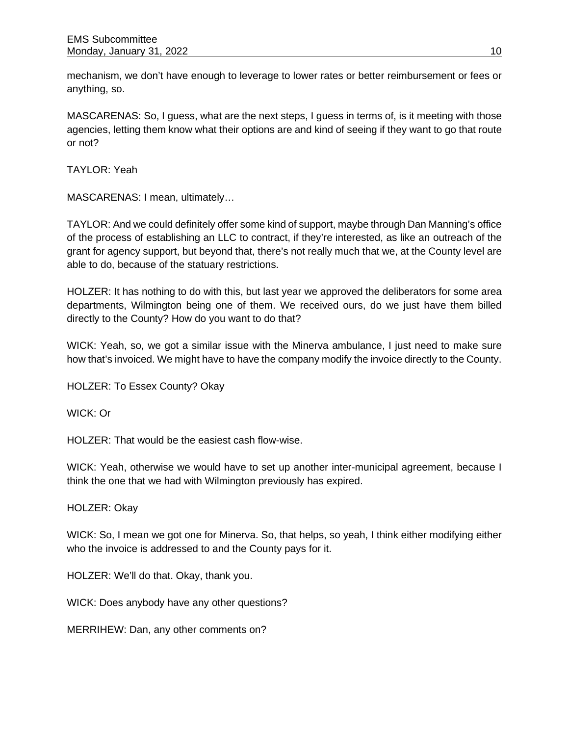mechanism, we don't have enough to leverage to lower rates or better reimbursement or fees or anything, so.

MASCARENAS: So, I guess, what are the next steps, I guess in terms of, is it meeting with those agencies, letting them know what their options are and kind of seeing if they want to go that route or not?

TAYLOR: Yeah

MASCARENAS: I mean, ultimately…

TAYLOR: And we could definitely offer some kind of support, maybe through Dan Manning's office of the process of establishing an LLC to contract, if they're interested, as like an outreach of the grant for agency support, but beyond that, there's not really much that we, at the County level are able to do, because of the statuary restrictions.

HOLZER: It has nothing to do with this, but last year we approved the deliberators for some area departments, Wilmington being one of them. We received ours, do we just have them billed directly to the County? How do you want to do that?

WICK: Yeah, so, we got a similar issue with the Minerva ambulance, I just need to make sure how that's invoiced. We might have to have the company modify the invoice directly to the County.

HOLZER: To Essex County? Okay

WICK: Or

HOLZER: That would be the easiest cash flow-wise.

WICK: Yeah, otherwise we would have to set up another inter-municipal agreement, because I think the one that we had with Wilmington previously has expired.

HOLZER: Okay

WICK: So, I mean we got one for Minerva. So, that helps, so yeah, I think either modifying either who the invoice is addressed to and the County pays for it.

HOLZER: We'll do that. Okay, thank you.

WICK: Does anybody have any other questions?

MERRIHEW: Dan, any other comments on?